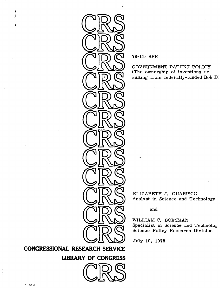

78-143 SPR

GOVERNMENT PATENT POLICY (The ownership of inventions resulting from federally-funded R& D,

ELIZABETH J. GUARISCO Analyst in Science and Technology

and

WILLIAM C. BOESMAN Specialist in Science and Technolog Science Policy Research Division

July 10, 1978

**CONGRESSIONAL** RESEARCH SERVICE

**LIBRARY OF CONGRESS** 



**J**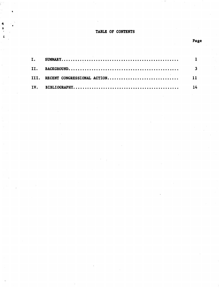# TABLE OF CONTENTS

4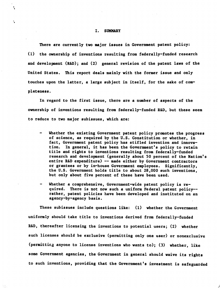#### I. SUMMARY

**>i**

٠,

There are currently two major issues in Government patent policy: **(1)** the ownership of inventions resulting from federally-funded research and development (R&D); and (2) general revision of the patent laws of the United States. This report deals mainly with the former issue and only touches upon the latter, a large subject in itself, for the sake of completeness.

In regard to the first issue, there are a number of aspects of the ownership of inventions resulting from federally-funded R&D, but these seem to reduce to two major subissues, which are:

- **-** Whether the existing Government patent policy promotes the progress of science, as required **by** the **U.S.** Constitution or whether, in fact, Government patent policy has stifled invention and innovation. In general, it has been the Government's policy to retain title and rights to inventions resulting from federally-funded research and development (generally about **50** percent of the Nation's entire R&D expenditure) **--** made either **by** Government contractors or grantees or **by** in-house Government employees. Significantly, the **U.S.** Government holds title to about **28,000** such inventions, but only about five percent of these have been used.
- Whether a comprehensive, Government-wide patent policy is required. There is not now such a uniform Federal patent policy- rather, patent policies have been developed and instituted on an agency-by-agency basis.

These subissues include questions like: **(1)** whether the Government uniformly should take title to inventions derived from federally-funded R&D, thereafter licensing the inventions to potential users; (2) whether such licenses should be exclusive (permitting only one user) or nonexclusive (permitting anyone to license inventions who wants to); **(3)** whether, like some Government agencies, the Government in general should waive its rights to such inventions, providing that the Government's investment is safeguarded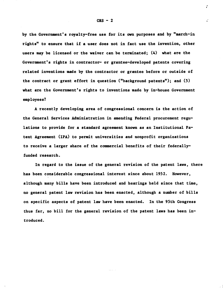**by** the Government's royalty-free use for its own purposes and **by** "march-in rights" to ensure that if a user does not in fact use the invention, other users may be licensed or the waiver can be terminated; (4) what are the Government's rights in contractor- or grantee-developed patents covering related inventions made **by** the contractor or grantee before or outside of the contract or grant effort in question ("background patents"); and **(5)** what are the Government's rights to inventions made **by** in-house Government employees?

**A** recently developing area of congressional concern is the action of the General Services Administration in amending Federal procurement regulations to provide for a standard agreement known as an Institutional Patent Agreement (IPA) to permit universities and nonprofit organizations to receive a larger share of the commercial benefits of their federallyfunded research.

In regard to the issue of the general revision of the patent laws, there has been considerable congressional interest since about **1952.** However, although many bills have been introduced and hearings held since that time, no general patent law revision has been enacted, although a number of bills on specific aspects of patent law have been enacted. In the 95th Congress thus far, no bill for the general revision of the patent laws has been introduced.

**f**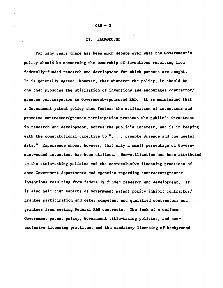#### II. BACKGROUND

For many years there has been much debate over what the Government's policy should be concerning the ownership of inventions resulting from federally-funded research and development for which patents are sought. It is generally agreed, however, that whatever the policy, it should be one that promotes the utilization of inventions and encourages contractor/ grantee participation in Government-sponsored R&D. It is maintained that a Government patent policy that fosters the utilization of inventions and promotes contractor/grantee participation protects the public's investment in research and development, serves the public's interest, and is in keeping with the constitutional directive to ". . . promote Science and the useful Arts." Experience shows, however, that only a small percentage of Government-owned inventions has been utilized. Non-utilization has been attributed to the title-taking policies and the non-exclusive licensing practices of some Government departments and agencies regarding contractor/grantee inventions resulting from federally-funded research and development. It is also held that aspects of Government patent policy inhibit contractor/ grantee participation and deter competent and qualified contractors and grantees from seeking Federal R&D contracts. The lack of a uniform Government patent policy, Government title-taking policies, and nonexclusive licensing practices, and the mandatory licensing of background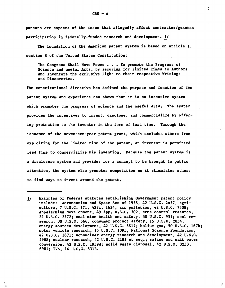patents are aspects of the issue that allegedly affect contractor/grantee participation in federally-funded research and development. 1/

I

The foundation of the American patent system is based on Article I, section 8 of the United States Constitution:

The Congress Shall Have Power . . . To promote the Progress of Science and useful Arts, by securing for limited Times to Authors and Inventors the exclusive Right to their respective Writings and Discoveries.

The constitutional directive has defined the purpose and function of the patent system and experience has shown that it is an incentive system which promotes the progress of science and the useful arts. The system provides the incentives to invent, disclose, and commercialize by offering protection to the inventor in the form of lead time. Through the issuance of the seventeen-year patent grant, which excludes others from exploiting for the limited time of the patent, an inventor is permitted lead time to commercialize his invention. Because the patent system is a disclosure system and provides for a concept to be brought to public attention, the system also promotes competition as it stimulates others to find ways to invent around the patent.

<sup>1/</sup> Examples of Federal statutes establishing Government patent policy include: Aeronautics and Space Act of 1958, 42 U.S.C. 2457; agriculture, 7 U.S.C. 171, 427i, 1624; air pollution, 42 U.S.C. 7608; Appalachian development, 49 App. U.S.C. 302; arms control research, 22 U.S.C. 2572; coal mine health and safety, 30 U.S.C. 951; coal research, 30 U.S.C. 666; consumer product safety, 15 U.S.C. 2054; energy sources development, 42 U.S.C. 5817; helium gas, 50 U.S.C. 167b; motor vehicle research, 15 U.S.C. 1395; National Science Foundation, 42 U.S.C. 1871; nonnuclear energy research and development, 42 U.S.C. 5908; nuclear research, 42 U.S.C. 2181 et seq.; saline and salt water conversion, 42 U.S.C. 1959d; solid waste disposal, 42 U.S.C. 3253, 6981; TVA, 16 U.S.C. 831R.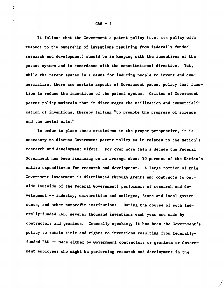It follows that the Government's patent policy (i.e. its policy with respect to the ownership of inventions resulting from federally-funded research and development) should be in keeping with the incentives of the patent system and in accordance with the constitutional directive. Yet, while the patent system is a means for inducing people to invent and commercialize, there are certain aspects of Government patent policy that function to reduce the incentives of the patent system. Critics of Government patent policy maintain that it discourages the utilization and commercialization of inventions, thereby failing "to promote the progress of science and the useful arts."

In order to place these criticisms in the proper perspective, it is necessary to discuss Government patent policy as it relates to the Nation's research and development effort. For over more than a decade the Federal Government has been financing on an average about **50** percent of the Nation's entire expenditures for research and development. **A** large portion of this Government investment is distributed through grants and contracts to outside (outside of the Federal Government) performers of research and development **--** industry, universities and colleges, State and local governments, and other nonprofit institutions. During the course of such federally-funded R&D, several thousand inventions each year are made **by** contractors and grantees. Generally speaking, it has been the Government's policy to retain title and rights to inventions resulting from federallyfunded R&D **--** made either **by** Government contractors or grantees or Government employees who might be performing research and development in the

1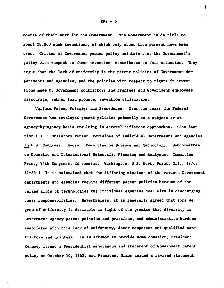course of their work for the Government. The Government holds title to about **28,000** such inventions, of which only about five percent have been used. Critics of Government patent policy maintain that the Government's policy with respect to these inventions contributes to this situation. They argue that the lack of uniformity in the patent policies of Government departments and agencies, and the policies with respect to rights in inventions made **by** Government contractors and grantees and Government employees discourage, rather than promote, invention utilization.

Uniform Patent Policies and Procedures. Over the years the Federal Government has developed patent policies primarily on a subject or an agency-by-agency basis resulting in several different approaches. (See Section III **--** Statutory Patent Provisions of Individual Departments and Agencies In **U.S.** Congress. House. Committee on Science and Technology. Subcommittee on Domestic and International Scientific Planning and Analyses. Committee Print, 94th Congress, **2d** session. Washington, **U.S.** Govt. Print. **Off., 1976: 61-85.)** It is maintained that the differing missions of the various Government departments and agencies require different patent policies because of the varied kinds of technologies the individual agencies deal with in discharging their responsibilities. Nevertheless, it is generally agreed that some degree of uniformity is desirable in light of the premise that diversity in Government agency patent policies and practices, and administrative burdens associated with this lack of uniformity, deter competent and qualified contractors and grantees. In an attempt to provide some cohesion, President Kennedy issued a Presidential memorandum and statement of Government patent policy on October **10, 1963,** and President Nixon issued a revised statement

CRS **- 6**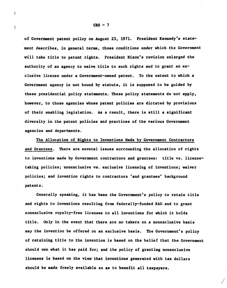of Government patent policy on August **23, 1971.** President Kennedy's statement describes, in general terms, those conditions under which the Government will take title to patent rights. President Nixon's revision enlarged the authority of an agency to waive title to such rights and to grant an exclusive license under a Government-owned patent. To the extent to which a Government agency is not bound **by** statute, it is supposed to be guided **by** these presidential policy statements. These policy statements do not apply, however, to those agencies whose patent policies are dictated **by** provisions of their enabling legislation. **As** a result, there is still **a** significant diversity in the patent policies and practices of the various Government agencies and departments.

The Allocation of Rights to Inventions Made **by** Government Contractors and Grantees. There are several issues surrounding the allocation of rights to inventions made **by** Government contractors and grantees: title vs. licensetaking policies; nonexclusive vs. exclusive licensing of inventions; waiver policies; and invention rights to contractors 'and grantees' background patents.

Generally speaking, it has been the Government's policy to retain title and rights to inventions resulting from federally-funded R&D and to grant nonexclusive royalty-free licenses to all inventions for which it holds title. Only in the event that there are no takers on a nonexclusive basis may the invention be offered on an exclusive basis. The Government's policy of retaining title to the invention is based on the belief that the Government should own what it has paid for; and the policy of granting nonexclusive licenses is based on the view that inventions generated with tax dollars should be made freely available so as to benefit all taxpayers.

÷

 $\ddot{\bullet}$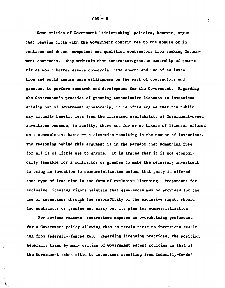Some critics of Government "title-taking" policies, however, argue that leaving title with the Government contributes to the nonuse of inventions and deters competent and qualified contractors from seeking Government contracts. They maintain that contractor/grantee ownership of patent titles would better assure commercial development and use of an invention and would assure more willingness on the part of contractors and grantees to perform research and development for the Government. Regarding the Government's practice of granting nonexclusive licenses to inventions arising out of Government sponsorship, it is often argued that the public may actually benefit less from the increased availability of Government-owned inventions because, in reality, there are few or no takers of licenses offered on a nonexclusive basis -- a situation resulting in the nonuse of inventions. The reasoning behind this argument is in the paradox that something free for all is of little use to anyone. It is argued that it is not economically feasible for a contractor or grantee to make the necessary investment to bring an invention to commercialization unless that party is offered some type of lead time in the form of exclusive licensing. Proponents for exclusive licensing rights maintain that assurances may be provided for the use of inventions through the revocability of the exclusive right, should the contractor or grantee not carry out its plan for commercialization.

For obvious reasons, contractors express an overwhelming preference for a Government policy allowing them to retain title to inventions resulting from federally-funded R&D. Regarding licensing practices, the position generally taken by many critics of Government patent policies is that if the Government takes title to inventions resulting from federally-funded

 $CRS - 8$ 

**1 t**

÷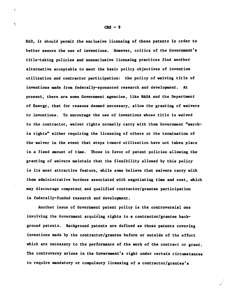R&D, it should permit the exclusive licensing of these patents in order to better assure the use of inventions. However, critics of the Government's title-taking policies and nonexclusive licensing practices find another alternative acceptable to meet the basic policy objectives of invention utilization and contractor participation: the policy of waiving title of inventions made from federally-sponsored research and development. At present, there are some Government agencies, like NASA and the Department of Energy, that for reasons deemed necessary, allow the granting of waivers to inventions. To encourage the use of inventions whose title is waived to the contractor, waiver rights normally carry with them Government "marchin rights" either requiring the licensing of others or the termination of the waiver in the event that steps toward utilization have not taken place in a fixed amount of time. Those in favor of patent policies allowing the granting of waivers maintain that the flexibility allowed by this policy is its most attractive feature, while some believe that waivers carry with them administrative burdens associated with negotiating time and cost, which may discourage competent and qualified contractor/grantee participation in federally-funded research and development.

Another issue of Government patent policy is the controversial one involving the Government acquiring rights to a contractor/grantee background patents. Background patents are defined as those patents covering inventions made by the contractor/grantee before or outside of the effort which are necessary to the performance of the work of the contract or grant. The controversy arises in the Government's right under certain circumstances to require mandatory or compulsory licensing of a contractor/grantee's

 $CRS - 9$ 

**I**

 $\frac{1}{2}$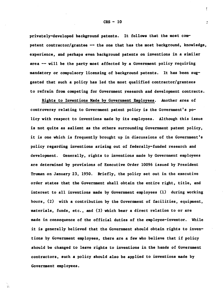privately-developed background patents. It follows that the most competent contractor/grantee -- the one that has the most background, knowledge, experience, and perhaps even background patents on inventions in a similar area -- will be the party most affected by a Government policy requiring mandatory or compulsory licensing of background patents. It has been suggested that such a policy has led the most qualified contractor/grantees to refrain from competing for Government research and development contracts.

Rights to Inventions Made by Government Employees. Another area of controversy relating to Government patent policy is the Government's policy with respect to inventions made by its employees. Although this issue is not quite as salient as the others surrounding Government patent policy, it is one which is frequently brought up in discussions of the Government's policy regarding inventions arising out of federally-funded research and development. Generally, rights to inventions made by Government employees are determined by provisions of Executive Order 10096 issued by President Truman on January 23, 1950. Briefly, the policy set out in the executive order states that the Government shall obtain the entire right, title, and interest to all inventions made by Government employees (1) during working hours, (2) with a contribution by the Government of facilities, equipment, materials, funds, etc., and (3) which bear a direct relation to or are made in consequence of the official duties of the employee-inventor. While it is generally believed that the Government should obtain rights to inventions by Government employees, there are a few who believe that if policy should be changed to leave rights to inventions in the hands of Government contractors, such a policy should also be applied to inventions made by Government employees.

 $CRS - 10$ 

**f**

 $\overline{a}$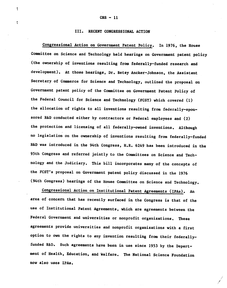١

ŧ

## III. RECENT CONGRESSIONAL ACTION

Congressional Action on Government Patent Policy. In 1976, the House Committee on Science and Technology held hearings on Government patent policy (the ownership of inventions resulting from federally-funded research and development). At those hearings, Dr. Betsy Ancker-Johnson, the Assistant Secretary of Commerce for Science and Technology, outlined the proposal on Government patent policy of the Committee on Government Patent Policy of the Federal Council for Science and Technology (FCST) which covered (1) the allocation of rights to all inventions resulting from federally-sponsored R&D conducted either by contractors or Federal employees and (2) the protection and licensing of all federally-owned inventions. Although no legislation on the ownership of inventions resulting from federally-funded R&D was introduced in the 94th Congress, H.R. 6249 has been introduced in the 95th Congress and referred jointly to the Committees on Science and Technology and the Judiciary. This bill incorporates many of the concepts of the FCST's proposal on Government patent policy discussed in the 1976 (94th Congress) hearings of the House Committee on Science and Technology.

Congressional Action on Institutional Patent Agreements (IPAs). An area of concern that has recently surfaced in the Congress is that of the use of Institutional Patent Agreements, which are agreements between the Federal Government and universities or nonprofit organizations. These agreements provide universities and nonprofit organizations with a first option to own the rights to any invention resulting from their federallyfunded R&D. Such agreements have been in use since 1953 by the Department of Health, Education, and Welfare. The National Science Foundation now also uses IPAs.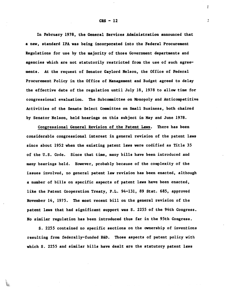In February 1978, the General Services Administration announced that a new, standard IPA was being incorporated into the Federal Procurement Regulations for use by the majority of those Government departments and agencies which are not statutorily restricted from the use of such agreements. At the request of Senator Gaylord Nelson, the Office of Federal Procurement Policy in the Office of Management and Budget agreed to delay the effective date of the regulation until July 18, 1978 to allow time for congressional evaluation. The Subcommittee on Monopoly and Anticompetitive Activities of the Senate Select Committee on Small Business, both chaired by Senator Nelson, held hearings on this subject in May and June 1978.

Congressional General Revision of the Patent Laws. There has been considerable congressional interest in general revision of the patent laws since about 1952 when the existing patent laws were codified as Title 35 of the U.S. Code. Since that time, many bills have been introduced and many hearings held. However, probably because of the complexity of the issues involved, no general patent law revision has been enacted, although a number of bills on specific aspects of patent laws have been enacted, like the Patent Cooperation Treaty, P.L. 94-131, 89 Stat. 685, approved November 14, 1975. The most recent bill on the general revision of the patent laws that had significant support was S. 2255 of the 94th Congress. No similar regulation has been introduced thus far in the 95th Congress.

S. 2255 contained no specific sections on the ownership of inventions resulting from federally-funded R&D. Those aspects of patent policy with which S. 2255 and similar bills have dealt are the statutory patent laws

 $CRS - 12$ 

**I t**

Ĭ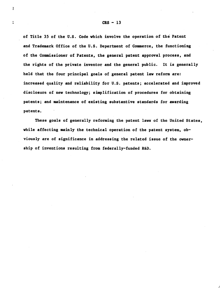of Title 35 of the U.S. Code which involve the operation of the Patent and Trademark Office of the U.S. Department of Commerce, the functioning of the Commissioner of Patents, the general patent approval process, and the rights of the private inventor and the general public. It is generally held that the four principal goals of general patent law reform are: increased quality and reliability for U.S. patents; accelerated and improved disclosure of new technology; simplification of procedures for obtaining patents; and maintenance of existing substantive standards for awarding patents.

These goals of generally reforming the patent laws of the United States, while affecting mainly the technical operation of the patent system, obviously are of significance in addressing the related issue of the ownership of inventions resulting from federally-funded R&D.

# $CRS - 13$

**t** t

÷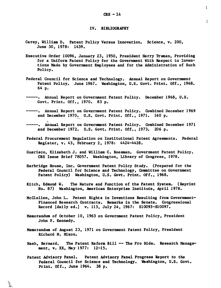ţ

 $\overline{\cdot}$ 

### IV. BIBLIOGRAPHY

- Carey, William D. Patent Policy Versus Innovation. Science, v. 200, June 30, 1978: 1439.
- Executive Order 10096, January 23, 1950, President Harry Truman, Providing for a Uniform Patent Policy for the Government With Respect to Inventions Made by Government Employees and for the Administration of Such Policy.
- Federal Council for Science and Technology. Annual Report on Government Patent Policy. June 1967. Washington, U.S. Govt. Print. Off., 1968. 64 p.
- ---. Annual Report on Government Patent Policy. December 1968, U.S. Govt. Print. Off., 1970. 83 p.
- ----. Annual Report on Government Patent Policy. Combined December 1969 and December 1970. U.S. Govt. Print. Off., 1971. 160 p.
- Annual Report on Government Patent Policy. Combined December 1971 and December 1972. U.S. Govt. Print. Off., 1973. 206 p.
- Federal Procurement Regulation on Institutional Patent Agreements. Federal Register, v. 43, February 2, 1978: 4424-4428.
- Guarisco, Elizabeth J. and William C. Boesman. Government Patent Policy. CRS Issue Brief 78057. Washington, Library of Congress, 1978.
- Harbridge House, Inc. Government Patent Policy Study. (Prepared for the Federal Council for Science and Technology, Committee on Government Patent Policy) Washington, U.S. Govt. Print. Off., 1968.
- Kitch, Edmund W. The Nature and Function of the Patent System. (Reprint No. 87) Washington, American Enterprise Institute, April 1978.
- McClellen, John L. Patent Rights in Inventions Resulting from Government-Financed Research Contracts. Remarks in the Senate. Congressional Record [daily ed.] v. 113, July 24, 1967: S10093-S10097.
- Memorandum of October 10, 1963 on Government Patent Policy, President John F. Kennedy.
- Memorandum of August 23, 1971 on Government Patent Policy, President Richard M. Nixon.
- Nash, Bernard. The Patent Reform Bill -- The Pro Side. Research Management, v. XX, May 1977: 12-15.
- Patent Advisory Panel. Patent Advisory Panel Progress Report to the Federal Council for Science and Technology. Washington, U.S. Govt. Print. Off., June 1964. 38 p.

÷.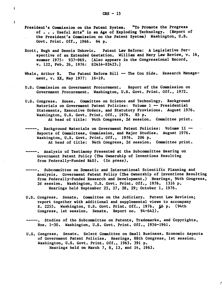ļ

- President's Commission on the Patent System. "To Promote the Progress of **. . .** Useful Arts" in an Age of Exploding Technology. (Report of the President's Commission on the Patent System) Washington, **U.S.** Govt. Print. **Off., 1966.** 64 **p.**
- Scott, Hugh and Dennis Unkovic. Patent Law Reform: **A** Legislative Perspective of an Extended Gestation. William and Mary Law Review, v. **16,** summer **1975: 937-969.** [Also appears in the Congressional Record, v. 122, Feb. **26, 1976:** S2414-S2423.]
- Whale, Arthur R. The Patent Reform Bill -- The Con Side. Research Management, v. XX, May **1977: 16-19.**
- **U.S.** Commission on Government Procurement. Report of the Commission on Government Procurement. Washington, U.S. Govt. Print. **Off., 1972.**
- **U.S.** Congress. House. Committee on Science and Technology. Background Materials on Government Patent Policies: Volume **1 --** Presidential Statements, Executive Orders, and Statutory Provisions. August **1976.** Washington, **U.S.** Govt. Print. **Off., 1976. 85 p.** At head of title: 94th Congress, **2d** session. Committee print.
- **----.** Background Materials on Government Patent Policies: Volume II **--** Reports of Committees, Commission, and Major Studies. August **1976.** Washington, **U.S.** Govt. Print. **Off., 1976. 206 p.** At head of title: 94th Congress, **2d** session. Committee print.
- **----.** Analysis of Testimony Presented at the Subcommittee Hearing on Government Patent Policy (The Ownership of Inventions Resulting from Federally-Funded R&D). (In press).
- Subcommittee on Domestic and International Scientific Planning and Analysis. Government Patent Policy (The Ownership of Inventions Resulting from Federally-Funded Research and Development.) Hearings, 94th Congress, 2d session. Washington, U.S. Govt. Print. Off., 1976. 1316 p. Hearings held September 23, 27, 28, 29; October 1, 1976.
- **U.S.** Congress. Senate. Committee on the Judiciary. Patent Law Revision; report together with additional and supplemental views to accompany **S. 2255.** Washington, **U.S.** Govt. Print. **Off., 1976. §6 p.** (94th Congress, 1st session. Senate. Report no. 94-642).
- **-----.** Studies of the Subcommittee on Patents, Trademarks, and Copyrights, Nos. 1-30. Washington, U.S. Govt. Print. Off., 1956-1961.
- **U.S.** Congress. Senate. Select Committee on Small Business. Economic Aspects of Government Patent Policies. Hearings, 88th Congress, **1st** session. Washington, **U.S.** Govt. Print. **Off., 1963. 391 p.** Hearings held on March **7, 8, 13,** and 14, **1963.**

A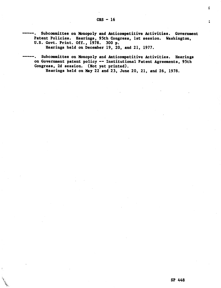Subcommittee on Monopoly and Anticompetitive Activities. Government Patent Policies. Hearings, 95th Congress, **1st** session. Washington, **U.S.** Govt. Print. **Off., 1978. 300 p.**

Hearings held on December **19,** 20, and 21, **1977.**

 $\mathbf{r}$ 

Subcommittee on Monopoly and Anticompetitive Activities. Hearings on Government patent policy **--** Institutional Patent Agreements, 95th Congress, **2d** session. (Not yet printed).

Hearings held on May 22 and 23, June 20, 21, and 26, 1978.

ţ

ž.